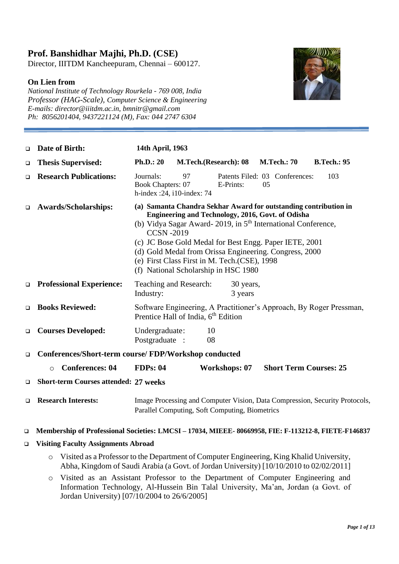### **Prof. Banshidhar Majhi, Ph.D. (CSE)**

Director, IIITDM Kancheepuram, Chennai – 600127.

### **On Lien from**

*National Institute of Technology Rourkela - 769 008, India Professor (HAG-Scale), Computer Science & Engineering E-mails: director@iiitdm.ac.in, bmnitr@gmail.com Ph: 8056201404, 9437221124 (M), Fax: 044 2747 6304*



| $\Box$ | Date of Birth:                                        | 14th April, 1963                                                                                                                                                                                                                                                                                                                                                                                                                    |  |  |
|--------|-------------------------------------------------------|-------------------------------------------------------------------------------------------------------------------------------------------------------------------------------------------------------------------------------------------------------------------------------------------------------------------------------------------------------------------------------------------------------------------------------------|--|--|
| $\Box$ | <b>Thesis Supervised:</b>                             | <b>Ph.D.: 20</b><br>M.Tech.(Research): 08<br><b>M.Tech.: 70</b><br><b>B.Tech.: 95</b>                                                                                                                                                                                                                                                                                                                                               |  |  |
| ◻      | <b>Research Publications:</b>                         | 97<br>Journals:<br>Patents Filed: 03 Conferences:<br>103<br><b>Book Chapters: 07</b><br>E-Prints:<br>05<br>h-index: $24$ , i10-index: 74                                                                                                                                                                                                                                                                                            |  |  |
| $\Box$ | <b>Awards/Scholarships:</b>                           | (a) Samanta Chandra Sekhar Award for outstanding contribution in<br>Engineering and Technology, 2016, Govt. of Odisha<br>(b) Vidya Sagar Award- 2019, in 5 <sup>th</sup> International Conference,<br><b>CCSN-2019</b><br>(c) JC Bose Gold Medal for Best Engg. Paper IETE, 2001<br>(d) Gold Medal from Orissa Engineering. Congress, 2000<br>(e) First Class First in M. Tech. (CSE), 1998<br>(f) National Scholarship in HSC 1980 |  |  |
| $\Box$ | <b>Professional Experience:</b>                       | Teaching and Research:<br>30 years,<br>3 years<br>Industry:                                                                                                                                                                                                                                                                                                                                                                         |  |  |
| □      | <b>Books Reviewed:</b>                                | Software Engineering, A Practitioner's Approach, By Roger Pressman,<br>Prentice Hall of India, 6 <sup>th</sup> Edition                                                                                                                                                                                                                                                                                                              |  |  |
| $\Box$ | <b>Courses Developed:</b>                             | Undergraduate:<br>10<br>Postgraduate :<br>08                                                                                                                                                                                                                                                                                                                                                                                        |  |  |
| $\Box$ | Conferences/Short-term course/ FDP/Workshop conducted |                                                                                                                                                                                                                                                                                                                                                                                                                                     |  |  |
|        | <b>Conferences: 04</b><br>$\circ$                     | <b>FDPs: 04</b><br><b>Workshops: 07</b><br><b>Short Term Courses: 25</b>                                                                                                                                                                                                                                                                                                                                                            |  |  |
| □      | <b>Short-term Courses attended: 27 weeks</b>          |                                                                                                                                                                                                                                                                                                                                                                                                                                     |  |  |
| □      | <b>Research Interests:</b>                            | Image Processing and Computer Vision, Data Compression, Security Protocols,<br>Parallel Computing, Soft Computing, Biometrics                                                                                                                                                                                                                                                                                                       |  |  |

### ❑ **Membership of Professional Societies: LMCSI – 17034, MIEEE- 80669958, FIE: F-113212-8, FIETE-F146837**

### ❑ **Visiting Faculty Assignments Abroad**

- o Visited as a Professor to the Department of Computer Engineering, King Khalid University, Abha, Kingdom of Saudi Arabia (a Govt. of Jordan University) [10/10/2010 to 02/02/2011]
- o Visited as an Assistant Professor to the Department of Computer Engineering and Information Technology, Al-Hussein Bin Talal University, Ma'an, Jordan (a Govt. of Jordan University) [07/10/2004 to 26/6/2005]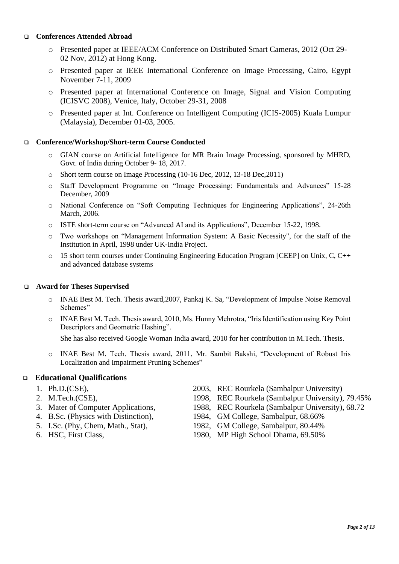### ❑ **Conferences Attended Abroad**

- o Presented paper at IEEE/ACM Conference on Distributed Smart Cameras, 2012 (Oct 29- 02 Nov, 2012) at Hong Kong.
- o Presented paper at IEEE International Conference on Image Processing, Cairo, Egypt November 7-11, 2009
- o Presented paper at International Conference on Image, Signal and Vision Computing (ICISVC 2008), Venice, Italy, October 29-31, 2008
- o Presented paper at Int. Conference on Intelligent Computing (ICIS-2005) Kuala Lumpur (Malaysia), December 01-03, 2005.

### ❑ **Conference/Workshop/Short-term Course Conducted**

- o GIAN course on Artificial Intelligence for MR Brain Image Processing, sponsored by MHRD, Govt. of India during October 9- 18, 2017.
- o Short term course on Image Processing (10-16 Dec, 2012, 13-18 Dec,2011)
- o Staff Development Programme on "Image Processing: Fundamentals and Advances" 15-28 December, 2009
- o National Conference on "Soft Computing Techniques for Engineering Applications", 24-26th March, 2006.
- o ISTE short-term course on "Advanced AI and its Applications", December 15-22, 1998.
- o Two workshops on "Management Information System: A Basic Necessity", for the staff of the Institution in April, 1998 under UK-India Project.
- $\circ$  15 short term courses under Continuing Engineering Education Program [CEEP] on Unix, C, C++ and advanced database systems

### ❑ **Award for Theses Supervised**

- o INAE Best M. Tech. Thesis award,2007, Pankaj K. Sa, "Development of Impulse Noise Removal Schemes"
- o INAE Best M. Tech. Thesis award, 2010, Ms. Hunny Mehrotra, "Iris Identification using Key Point Descriptors and Geometric Hashing".

She has also received Google Woman India award, 2010 for her contribution in M.Tech. Thesis.

o INAE Best M. Tech. Thesis award, 2011, Mr. Sambit Bakshi, "Development of Robust Iris Localization and Impairment Pruning Schemes"

### ❑ **Educational Qualifications**

- 
- 
- 
- 
- 
- 
- 1. Ph.D.(CSE), 2003, REC Rourkela (Sambalpur University)
- 2. M.Tech.(CSE), 1998, REC Rourkela (Sambalpur University), 79.45%
- 3. Mater of Computer Applications, 1988, REC Rourkela (Sambalpur University), 68.72
- 4. B.Sc. (Physics with Distinction), 1984, GM College, Sambalpur, 68.66%
- 5. I.Sc. (Phy, Chem, Math., Stat), 1982, GM College, Sambalpur, 80.44%
- 6. HSC, First Class, 1980, MP High School Dhama, 69.50%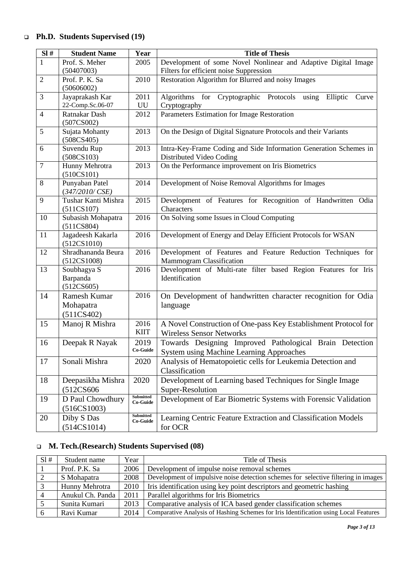# ❑ **Ph.D. Students Supervised (19)**

| SI#              | <b>Student Name</b>     | Year              | <b>Title of Thesis</b>                                               |  |
|------------------|-------------------------|-------------------|----------------------------------------------------------------------|--|
| $\mathbf{1}$     | Prof. S. Meher          | 2005              | Development of some Novel Nonlinear and Adaptive Digital Image       |  |
|                  | (50407003)              |                   | Filters for efficient noise Suppression                              |  |
| $\overline{2}$   | Prof. P. K. Sa          | 2010              | Restoration Algorithm for Blurred and noisy Images                   |  |
|                  | (50606002)              |                   |                                                                      |  |
| 3                | Jayaprakash Kar         | 2011              | Cryptographic Protocols using<br>Algorithms for<br>Elliptic<br>Curve |  |
|                  | 22-Comp.Sc.06-07        | UU                | Cryptography                                                         |  |
| $\overline{4}$   | Ratnakar Dash           | 2012              | Parameters Estimation for Image Restoration                          |  |
|                  | (507CSO02)              |                   |                                                                      |  |
| 5                | Sujata Mohanty          | 2013              | On the Design of Digital Signature Protocols and their Variants      |  |
|                  | (508CS405)              |                   |                                                                      |  |
| 6                | Suvendu Rup             | $\overline{2}013$ | Intra-Key-Frame Coding and Side Information Generation Schemes in    |  |
|                  | (508CS103)              |                   | Distributed Video Coding                                             |  |
| $\boldsymbol{7}$ | Hunny Mehrotra          | 2013              | On the Performance improvement on Iris Biometrics                    |  |
|                  | (510CS101)              |                   |                                                                      |  |
| $8\,$            | Punyaban Patel          | 2014              | Development of Noise Removal Algorithms for Images                   |  |
|                  | $(347/2010/\text{CSE})$ |                   |                                                                      |  |
| 9                | Tushar Kanti Mishra     | 2015              | Development of Features for Recognition of Handwritten Odia          |  |
|                  | (511CS107)              |                   | Characters                                                           |  |
| 10               | Subasish Mohapatra      | 2016              | On Solving some Issues in Cloud Computing                            |  |
|                  | (511CS804)              |                   |                                                                      |  |
| 11               | Jagadeesh Kakarla       | 2016              | Development of Energy and Delay Efficient Protocols for WSAN         |  |
|                  | (512CS1010)             |                   |                                                                      |  |
| 12               | Shradhananda Beura      | 2016              | Development of Features and Feature Reduction Techniques for         |  |
|                  | (512CS1008)             |                   | Mammogram Classification                                             |  |
| 13               | Soubhagya S             | 2016              | Development of Multi-rate filter based Region Features for Iris      |  |
|                  | Barpanda                |                   | Identification                                                       |  |
|                  | (512CS605)              |                   |                                                                      |  |
| 14               | Ramesh Kumar            | 2016              | On Development of handwritten character recognition for Odia         |  |
|                  | Mohapatra               |                   | language                                                             |  |
|                  | (511CS402)              |                   |                                                                      |  |
| 15               | Manoj R Mishra          | 2016              | A Novel Construction of One-pass Key Establishment Protocol for      |  |
|                  |                         | <b>KIIT</b>       | <b>Wireless Sensor Networks</b>                                      |  |
| 16               | Deepak R Nayak          | 2019              | Towards Designing Improved Pathological Brain Detection              |  |
|                  |                         | Co-Guide          | <b>System using Machine Learning Approaches</b>                      |  |
| 17               | Sonali Mishra           | 2020              | Analysis of Hematopoietic cells for Leukemia Detection and           |  |
|                  |                         |                   | Classification                                                       |  |
| 18               | Deepasikha Mishra       | 2020              | Development of Learning based Techniques for Single Image            |  |
|                  | (512CS606               |                   | Super-Resolution                                                     |  |
|                  |                         | <b>Submitted</b>  |                                                                      |  |
| 19               | D Paul Chowdhury        | Co-Guide          | Development of Ear Biometric Systems with Forensic Validation        |  |
|                  | (516CS1003)             | Submitted         |                                                                      |  |
| 20               | Diby S Das              | Co-Guide          | Learning Centric Feature Extraction and Classification Models        |  |
|                  | (514CS1014)             |                   | for OCR                                                              |  |

# ❑ **M. Tech.(Research) Students Supervised (08)**

| S1# | Student name     | Year | Title of Thesis                                                                      |
|-----|------------------|------|--------------------------------------------------------------------------------------|
|     | Prof. P.K. Sa    | 2006 | Development of impulse noise removal schemes                                         |
|     | S Mohapatra      | 2008 | Development of impulsive noise detection schemes for selective filtering in images   |
|     | Hunny Mehrotra   | 2010 | Iris identification using key point descriptors and geometric hashing                |
|     | Anukul Ch. Panda | 2011 | Parallel algorithms for Iris Biometrics                                              |
|     | Sunita Kumari    | 2013 | Comparative analysis of ICA based gender classification schemes                      |
|     | Ravi Kumar       | 2014 | Comparative Analysis of Hashing Schemes for Iris Identification using Local Features |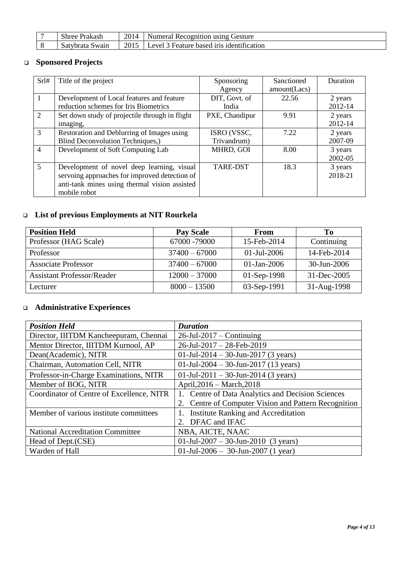| $\sim$<br>Prakash<br>Shree | 2014 | Numeral Recognition using Gesture         |
|----------------------------|------|-------------------------------------------|
| Satybrata Swain            | 2015 | Level 3 Feature based iris identification |

### ❑ **Sponsored Projects**

| Srl#                        | Title of the project                           | Sponsoring      | Sanctioned   | Duration |
|-----------------------------|------------------------------------------------|-----------------|--------------|----------|
|                             |                                                | Agency          | amount(Lacs) |          |
| 1                           | Development of Local features and feature      | DIT, Govt. of   | 22.56        | 2 years  |
|                             | reduction schemes for Iris Biometrics          | India           |              | 2012-14  |
| $\mathcal{D}_{\mathcal{L}}$ | Set down study of projectile through in flight | PXE, Chandipur  | 9.91         | 2 years  |
|                             | imaging,                                       |                 |              | 2012-14  |
| 3                           | Restoration and Deblurring of Images using     | ISRO (VSSC,     | 7.22         | 2 years  |
|                             | Blind Deconvolution Techniques,)               | Trivandrum)     |              | 2007-09  |
| $\overline{4}$              | Development of Soft Computing Lab              | MHRD, GOI       | 8.00         | 3 years  |
|                             |                                                |                 |              | 2002-05  |
| 5                           | Development of novel deep learning, visual     | <b>TARE-DST</b> | 18.3         | 3 years  |
|                             | servoing approaches for improved detection of  |                 |              | 2018-21  |
|                             | anti-tank mines using thermal vision assisted  |                 |              |          |
|                             | mobile robot                                   |                 |              |          |

## ❑ **List of previous Employments at NIT Rourkela**

| <b>Position Held</b>              | <b>Pay Scale</b> | <b>From</b>    | Ŧо          |
|-----------------------------------|------------------|----------------|-------------|
| Professor (HAG Scale)             | 67000 - 79000    | 15-Feb-2014    | Continuing  |
| Professor                         | $37400 - 67000$  | $01$ -Jul-2006 | 14-Feb-2014 |
| <b>Associate Professor</b>        | $37400 - 67000$  | $01$ -Jan-2006 | 30-Jun-2006 |
| <b>Assistant Professor/Reader</b> | $12000 - 37000$  | $01-Sep-1998$  | 31-Dec-2005 |
| Lecturer                          | $8000 - 13500$   | 03-Sep-1991    | 31-Aug-1998 |

## ❑ **Administrative Experiences**

| <b>Position Held</b>                      | <b>Duration</b>                                         |
|-------------------------------------------|---------------------------------------------------------|
| Director, IIITDM Kancheepuram, Chennai    | $26$ -Jul-2017 – Continuing                             |
| Mentor Director, IIITDM Kurnool, AP       | $26$ -Jul-2017 - 28-Feb-2019                            |
| Dean(Academic), NITR                      | 01-Jul-2014 - 30-Jun-2017 (3 years)                     |
| Chairman, Automation Cell, NITR           | 01-Jul-2004 - 30-Jun-2017 (13 years)                    |
| Professor-in-Charge Examinations, NITR    | 01-Jul-2011 - 30-Jun-2014 (3 years)                     |
| Member of BOG, NITR                       | April, 2016 – March, 2018                               |
| Coordinator of Centre of Excellence, NITR | 1. Centre of Data Analytics and Decision Sciences       |
|                                           | Centre of Computer Vision and Pattern Recognition<br>2. |
| Member of various institute committees    | <b>Institute Ranking and Accreditation</b><br>1.        |
|                                           | 2. DFAC and IFAC                                        |
| <b>National Accreditation Committee</b>   | NBA, AICTE, NAAC                                        |
| Head of Dept. (CSE)                       | 01-Jul-2007 - 30-Jun-2010 (3 years)                     |
| Warden of Hall                            | 01-Jul-2006 - 30-Jun-2007 (1 year)                      |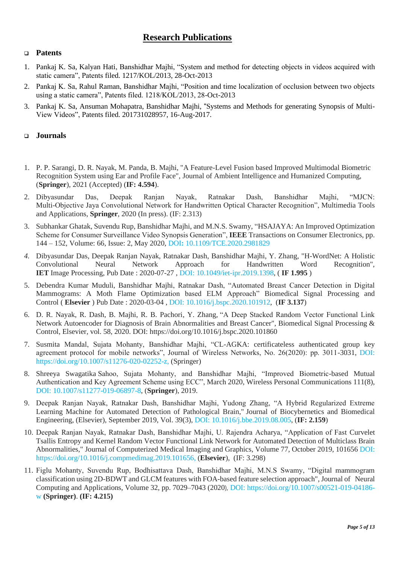### **Research Publications**

### ❑ **Patents**

- 1. Pankaj K. Sa, Kalyan Hati, Banshidhar Majhi, "System and method for detecting objects in videos acquired with static camera", Patents filed. 1217/KOL/2013, 28-Oct-2013
- 2. Pankaj K. Sa, Rahul Raman, Banshidhar Majhi, "Position and time localization of occlusion between two objects using a static camera", Patents filed. 1218/KOL/2013, 28-Oct-2013
- 3. Pankaj K. Sa, Ansuman Mohapatra, Banshidhar Majhi, "Systems and Methods for generating Synopsis of Multi-View Videos", Patents filed. 201731028957, 16-Aug-2017.

### ❑ **Journals**

- 1. P. P. Sarangi, D. R. Nayak, M. Panda, B. Majhi, "A Feature-Level Fusion based Improved Multimodal Biometric Recognition System using Ear and Profile Face", Journal of Ambient Intelligence and Humanized Computing, (**Springer**), 2021 (Accepted) (**IF: 4.594**).
- 2. Dibyasundar Das, Deepak Ranjan Nayak, Ratnakar Dash, Banshidhar Majhi, "MJCN: Multi-Objective Jaya Convolutional Network for Handwritten Optical Character Recognition", Multimedia Tools and Applications, **Springer**, 2020 (In press). (IF: 2.313)
- 3. Subhankar Ghatak, Suvendu Rup, Banshidhar Majhi, and M.N.S. Swamy, "HSAJAYA: An Improved Optimization Scheme for Consumer Surveillance Video Synopsis Generation", **IEEE** Transactions on Consumer Electronics, pp. 144 – 152, Volume: 66, Issue: 2, May 2020, DOI**:** [10.1109/TCE.2020.2981829](https://doi.org/10.1109/TCE.2020.2981829)
- *4.* Dibyasundar Das, Deepak Ranjan Nayak, Ratnakar Dash, Banshidhar Majhi, Y. Zhang, "H-WordNet: A Holistic Convolutional Neural Network Approach for Handwritten Word Recognition", **IET** Image Processing, Pub Date : 2020-07-27 , DOI: [10.1049/iet-ipr.2019.1398,](https://www.x-mol.com/paperRedirect/1288185773186269184) ( **IF 1.995** )
- 5. Debendra Kumar Muduli, Banshidhar Majhi, Ratnakar Dash, "Automated Breast Cancer Detection in Digital Mammograms: A Moth Flame Optimization based ELM Approach" Biomedical Signal Processing and Control ( **Elsevier** ) Pub Date : 2020-03-04 , DOI: [10.1016/j.bspc.2020.101912,](https://www.x-mol.com/paperRedirect/1247930630851989504) (**IF 3.137**)
- 6. D. R. Nayak, R. Dash, B. Majhi, R. B. Pachori, Y. Zhang, "A Deep Stacked Random Vector Functional Link Network Autoencoder for Diagnosis of Brain Abnormalities and Breast Cancer", Biomedical Signal Processing & Control, Elsevier, vol. 58, 2020. DOI: <https://doi.org/10.1016/j.bspc.2020.101860>
- 7. Susmita Mandal, Sujata Mohanty, Banshidhar Majhi, "CL-AGKA: certificateless authenticated group key agreement protocol for mobile networks", Journal of Wireless Networks, No. 26(2020): pp. 3011-3031, DOI: [https://doi.org/10.1007/s11276-020-02252-z,](https://doi.org/10.1007/s11276-020-02252-z) (Springer)
- 8. Shreeya Swagatika Sahoo, Sujata Mohanty, and Banshidhar Majhi, "Improved Biometric-based Mutual Authentication and Key Agreement Scheme using ECC", March 2020, Wireless Personal Communications 111(8), DOI: [10.1007/s11277-019-06897-8,](https://www.researchgate.net/deref/https%3A%2F%2Flink.springer.com%2Farticle%2F10.1007%2Fs11277-019-06897-8) (**Springer**), 2019.
- 9. Deepak Ranjan Nayak, Ratnakar Dash, Banshidhar Majhi, Yudong Zhang, "A Hybrid Regularized Extreme Learning Machine for Automated Detection of Pathological Brain," Journal of Biocybernetics and Biomedical Engineering, (Elsevier), September 2019, Vol. 39(3), DOI: [10.1016/j.bbe.2019.08.005,](https://www.researchgate.net/deref/http%3A%2F%2Fdx.doi.org%2F10.1016%2Fj.bbe.2019.08.005) (**IF: 2.159**)
- 10. Deepak Ranjan Nayak, Ratnakar Dash, Banshidhar Majhi, U. Rajendra Acharya, "Application of Fast Curvelet Tsallis Entropy and Kernel Random Vector Functional Link Network for Automated Detection of Multiclass Brain Abnormalities," Journal of Computerized Medical Imaging and Graphics[, Volume 77,](https://www.sciencedirect.com/science/journal/08956111/77/supp/C) October 2019, 101656 DOI: [https://doi.org/10.1016/j.compmedimag.2019.101656,](https://doi.org/10.1016/j.compmedimag.2019.101656) (**Elsevier**), (IF: 3.298)
- 11. Figlu Mohanty, Suvendu Rup, Bodhisattava Dash, Banshidhar Majhi, M.N.S Swamy, "Digital mammogram classification using 2D-BDWT and GLCM features with FOA-based feature selection approach", Journal of Neural Computing and Applications, Volume 32, pp. 7029–7043 (2020), DOI: https://doi.org/10.1007/s00521-019-04186 w **(Springer)**. **(IF: 4.215)**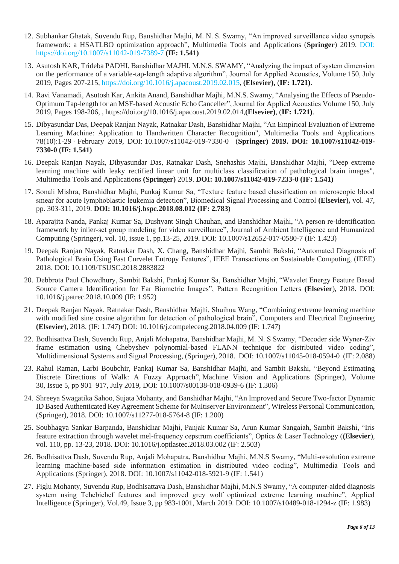- 12. Subhankar Ghatak, Suvendu Rup, Banshidhar Majhi, M. N. S. Swamy, "An improved surveillance video synopsis framework: a HSATLBO optimization approach", Multimedia Tools and Applications (**Springer**) 2019. DOI: https://doi.org/10.1007/s11042-019-7389-7 **(IF: 1.541)**
- 13. Asutosh KAR, Trideba PADHI, Banshidhar MAJHI, M.N.S. SWAMY, "Analyzing the impact of system dimension on the performance of a variable-tap-length adaptive algorithm", Journal for Applied Acoustics[, Volume 150,](https://www.sciencedirect.com/science/journal/0003682X/150/supp/C) July 2019, Pages 207-215, https://doi.org/10.1016/j.apacoust.2019.02.015, **(Elsevier),** (**IF: 1.721)**.
- 14. Ravi Vanamadi, Asutosh Kar, Ankita Anand, Banshidhar Majhi, M.N.S. Swamy, "Analysing the Effects of Pseudo-Optimum Tap-length for an MSF-based Acoustic Echo Canceller", Journal for Applied Acoustic[s Volume 150,](https://www.sciencedirect.com/science/journal/0003682X/150/supp/C) July 2019, Pages 198-206, , https://doi.org/10.1016/j.apacoust.2019.02.014,**(Elsevier)**, (**IF: 1.721)**.
- 15. Dibyasundar Das, Deepak Ranjan Nayak, Ratnakar Dash, Banshidhar Majhi, "An Empirical Evaluation of Extreme Learning Machine: Application to Handwritten Character Recognition", Multimedia Tools and Applications 78(10):1-29 · February 2019, DOI: [10.1007/s11042-019-7330-0](http://dx.doi.org/10.1007/s11042-019-7330-0) (**Springer) 2019. DOI: 10.1007/s11042-019- 7330-0 (IF: 1.541)**
- 16. Deepak Ranjan Nayak, Dibyasundar Das, Ratnakar Dash, Snehashis Majhi, Banshidhar Majhi, "Deep extreme learning machine with leaky rectified linear unit for multiclass classification of pathological brain images", Multimedia Tools and Applications **(Springer)** 2019. **DOI: 10.1007/s11042-019-7233-0 (IF: 1.541)**
- 17. Sonali Mishra, Banshidhar Majhi, Pankaj Kumar Sa, "Texture feature based classification on microscopic blood smear for acute lymphoblastic leukemia detection", Biomedical Signal Processing and Control **(Elsevier),** vol. 47, pp. 303-311, 2019. **DOI: 10.1016/j.bspc.2018.08.012 (IF: 2.783)**
- 18. Aparajita Nanda, Pankaj Kumar Sa, Dushyant Singh Chauhan, and Banshidhar Majhi, "A person re-identification framework by inlier-set group modeling for video surveillance", Journal of Ambient Intelligence and Humanized Computing (Springer), vol. 10, issue 1, pp.13-25, 2019. DOI: 10.1007/s12652-017-0580-7 (IF: 1.423)
- 19. Deepak Ranjan Nayak, Ratnakar Dash, X. Chang, Banshidhar Majhi, Sambit Bakshi, "Automated Diagnosis of Pathological Brain Using Fast Curvelet Entropy Features", IEEE Transactions on Sustainable Computing, (IEEE) 2018. DOI: 10.1109/TSUSC.2018.2883822
- 20. Debbrota Paul Chowdhury, Sambit Bakshi, Pankaj Kumar Sa, Banshidhar Majhi, "Wavelet Energy Feature Based Source Camera Identification for Ear Biometric Images", Pattern Recognition Letters **(Elsevier**), 2018. DOI: [10.1016/j.patrec.2018.10.009](https://doi.org/10.1016/j.patrec.2018.10.009) (IF: 1.952)
- 21. Deepak Ranjan Nayak, Ratnakar Dash, Banshidhar Majhi, Shuihua Wang, "Combining extreme learning machine with modified sine cosine algorithm for detection of pathological brain", Computers and Electrical Engineering **(Elsevier**), 2018. (IF: 1.747) DOI: 10.1016/j.compeleceng.2018.04.009 (IF: 1.747)
- 22. Bodhisattva Dash, Suvendu Rup, Anjali Mohapatra, Banshidhar Majhi, M. N. S Swamy, "Decoder side Wyner-Ziv frame estimation using Chebyshev polynomial-based FLANN technique for distributed video coding", Multidimensional Systems and Signal Processing, (Springer), 2018. DOI: 10.1007/s11045-018-0594-0 (IF: 2.088)
- 23. Rahul Raman, Larbi Boubchir, Pankaj Kumar Sa, Banshidhar Majhi, and Sambit Bakshi, "Beyond Estimating Discrete Directions of Walk: A Fuzzy Approach", Machine Vision and Applications (Springer), Volume 30, [Issue](https://link.springer.com/journal/138/30/5/page/1) 5, pp 901–917, July 2019, DOI: 10.1007/s00138-018-0939-6 (IF: 1.306)
- 24. Shreeya Swagatika Sahoo, Sujata Mohanty, and Banshidhar Majhi, "An Improved and Secure Two-factor Dynamic ID Based Authenticated Key Agreement Scheme for Multiserver Environment", Wireless Personal Communication, (Springer), 2018. DOI: 10.1007/s11277-018-5764-8 (IF: 1.200)
- 25. Soubhagya Sankar Barpanda, Banshidhar Majhi, Panjak Kumar Sa, Arun Kumar Sangaiah, Sambit Bakshi, "Iris feature extraction through wavelet mel-frequency cepstrum coefficients", Optics & Laser Technology (**(Elsevier**), vol. 110, pp. 13-23, 2018. DOI: 10.1016/j.optlastec.2018.03.002 (IF: 2.503)
- 26. Bodhisattva Dash, Suvendu Rup, Anjali Mohapatra, Banshidhar Majhi, M.N.S Swamy, "Multi-resolution extreme learning machine-based side information estimation in distributed video coding", Multimedia Tools and Applications (Springer), 2018. DOI: 10.1007/s11042-018-5921-9 (IF: 1.541)
- 27. Figlu Mohanty, Suvendu Rup, Bodhisattava Dash, Banshidhar Majhi, M.N.S Swamy, "A computer-aided diagnosis system using Tchebichef features and improved grey wolf optimized extreme learning machine", Applied Intelligence (Springer), Vol.49, Issue 3, pp 983-1001, March 2019. DOI: 10.1007/s10489-018-1294-z (IF: 1.983)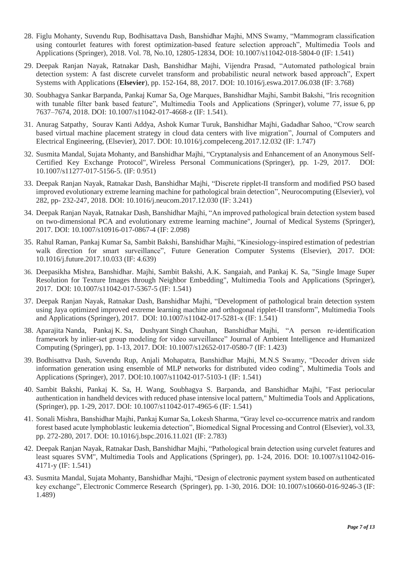- 28. Figlu Mohanty, Suvendu Rup, Bodhisattava Dash, Banshidhar Majhi, MNS Swamy, "Mammogram classification using contourlet features with forest optimization-based feature selection approach", Multimedia Tools and Applications (Springer), 2018. Vol. 78, No.10, 12805-12834, DOI: 10.1007/s11042-018-5804-0 (IF: 1.541)
- 29. Deepak Ranjan Nayak, Ratnakar Dash, Banshidhar Majhi, Vijendra Prasad, "Automated pathological brain detection system: A fast discrete curvelet transform and probabilistic neural network based approach", Expert Systems with Applications (**Elsevier**), pp. 152-164, 88, 2017. DOI: 10.1016/j.eswa.2017.06.038 (IF: 3.768)
- 30. Soubhagya Sankar Barpanda, Pankaj Kumar Sa, Oge Marques, Banshidhar Majhi, Sambit Bakshi, "Iris recognition with tunable filter bank based feature", Multimedia Tools and Applications (Springer), volume 77, [issue](https://link.springer.com/journal/11042/77/6/page/1) 6, pp 7637–7674, 2018. DOI: 10.1007/s11042-017-4668-z (IF: 1.541).
- 31. Anurag Satpathy, Sourav Kanti Addya, Ashok Kumar Turuk, Banshidhar Majhi, Gadadhar Sahoo, "Crow search based virtual machine placement strategy in cloud data centers with live migration", Journal of Computers and Electrical Engineering, (Elsevier), 2017. DOI: 10.1016/j.compeleceng.2017.12.032 (IF: 1.747)
- 32. Susmita Mandal, Sujata Mohanty, and Banshidhar Majhi, "Cryptanalysis and Enhancement of an Anonymous Self-Certified Key Exchange Protocol", Wireless Personal Communications (Springer), pp. 1-29, 2017. DOI: 10.1007/s11277-017-5156-5. (IF: 0.951)
- 33. Deepak Ranjan Nayak, Ratnakar Dash, Banshidhar Majhi, "Discrete ripplet-II transform and modified PSO based improved evolutionary extreme learning machine for pathological brain detection", Neurocomputing (Elsevier), vol 282, pp- 232-247, 2018. DOI: 10.1016/j.neucom.2017.12.030 (IF: 3.241)
- 34. Deepak Ranjan Nayak, Ratnakar Dash, Banshidhar Majhi, "An improved pathological brain detection system based on two-dimensional PCA and evolutionary extreme learning machine", Journal of Medical Systems (Springer), 2017. DOI: 10.1007/s10916-017-0867-4 (IF: 2.098)
- 35. Rahul Raman, Pankaj Kumar Sa, Sambit Bakshi, Banshidhar Majhi, "Kinesiology-inspired estimation of pedestrian walk direction for smart surveillance", Future Generation Computer Systems (Elsevier), 2017. DOI: 10.1016/j.future.2017.10.033 (IF: 4.639)
- 36. Deepasikha Mishra, Banshidhar. Majhi, Sambit Bakshi, A.K. Sangaiah, and Pankaj K. Sa, "Single Image Super Resolution for Texture Images through Neighbor Embedding", Multimedia Tools and Applications (Springer), 2017. DOI: 10.1007/s11042-017-5367-5 (IF: 1.541)
- 37. Deepak Ranjan Nayak, Ratnakar Dash, Banshidhar Majhi, "Development of pathological brain detection system using Jaya optimized improved extreme learning machine and orthogonal ripplet-II transform", Multimedia Tools and Applications (Springer), 2017. DOI: 10.1007/s11042-017-5281-x (IF: 1.541)
- 38. Aparajita Nanda, Pankaj K. Sa, Dushyant Singh Chauhan, Banshidhar Majhi, "A person re-identification framework by inlier-set group modeling for video surveillance" Journal of Ambient Intelligence and Humanized Computing (Springer), pp. 1-13, 2017. DOI: [10.1007/s12652-017-0580-7](https://doi.org/10.1007/s12652-017-0580-7) (IF: 1.423)
- 39. Bodhisattva Dash, Suvendu Rup, Anjali Mohapatra, Banshidhar Majhi, M.N.S Swamy, "Decoder driven side information generation using ensemble of MLP networks for distributed video coding", Multimedia Tools and Applications (Springer), 2017. DOI:10.1007/s11042-017-5103-1 (IF: 1.541)
- 40. Sambit Bakshi, Pankaj K. Sa, H. Wang, Soubhagya S. Barpanda, and Banshidhar Majhi, "Fast periocular authentication in handheld devices with reduced phase intensive local pattern," Multimedia Tools and Applications, (Springer), pp. 1-29, 2017. DOI: 10.1007/s11042-017-4965-6 (IF: 1.541)
- 41. Sonali Mishra, Banshidhar Majhi, Pankaj Kumar Sa, Lokesh Sharma, "Gray level co-occurrence matrix and random forest based acute lymphoblastic leukemia detection", Biomedical Signal Processing and Control (Elsevier), vol.33, pp. 272-280, 2017. DOI: [10.1016/j.bspc.2016.11.021](http://dx.doi.org/10.1016/j.bspc.2016.11.021) (IF: 2.783)
- 42. Deepak Ranjan Nayak, Ratnakar Dash, Banshidhar Majhi, "Pathological brain detection using curvelet features and least squares SVM", Multimedia Tools and Applications (Springer), pp. 1-24, 2016. DOI: 10.1007/s11042-016- 4171-y (IF: 1.541)
- 43. Susmita Mandal, Sujata Mohanty, Banshidhar Majhi, "Design of electronic payment system based on authenticated key exchange", [Electronic Commerce Research](http://link.springer.com/journal/10660) (Springer), pp. 1-30, 2016. DOI: [10.1007/s10660-016-9246-3](http://link.springer.com/article/10.1007/s10660-016-9246-3?wt_mc=Internal.Event.1.SEM.ArticleAuthorOnlineFirst) (IF: 1.489)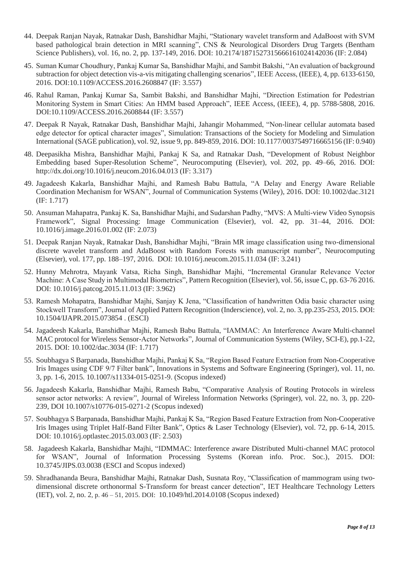- 44. Deepak Ranjan Nayak, Ratnakar Dash, Banshidhar Majhi, "Stationary wavelet transform and AdaBoost with SVM based pathological brain detection in MRI scanning", CNS & Neurological Disorders Drug Targets (Bentham Science Publishers), vol. 16, no. 2, pp. 137-149, 2016. DOI: 10.2174/1871527315666161024142036 (IF: 2.084)
- 45. Suman Kumar Choudhury, Pankaj Kumar Sa, Banshidhar Majhi, and Sambit Bakshi, "An evaluation of background subtraction for object detection vis-a-vis mitigating challenging scenarios", IEEE Access, (IEEE), 4, pp. 6133-6150, 2016. DOI:10.1109/ACCESS.2016.2608847 (IF: 3.557)
- 46. Rahul Raman, Pankaj Kumar Sa, Sambit Bakshi, and Banshidhar Majhi, "Direction Estimation for Pedestrian Monitoring System in Smart Cities: An HMM based Approach", IEEE Access, (IEEE), 4, pp. 5788-5808, 2016. DOI:10.1109/ACCESS.2016.2608844 (IF: 3.557)
- 47. Deepak R Nayak, Ratnakar Dash, Banshidhar Majhi, Jahangir Mohammed, "Non-linear cellular automata based edge detector for optical character images", Simulation: Transactions of the Society for Modeling and Simulation International (SAGE publication), vol. 92, issue 9, pp. 849-859, 2016. DOI: 10.1177/0037549716665156 (IF: 0.940)
- 48. Deepasikha Mishra, Banshidhar Majhi, Pankaj K Sa, and Ratnakar Dash, ["Development of Robust Neighbor](https://scholar.google.co.in/scholar?oi=bibs&cluster=5495931046996758989&btnI=1&hl=en)  [Embedding based Super-Resolution Scheme"](https://scholar.google.co.in/scholar?oi=bibs&cluster=5495931046996758989&btnI=1&hl=en), Neurocomputing (Elsevier), vol. 202, pp. 49–66, 2016. DOI: <http://dx.doi.org/10.1016/j.neucom.2016.04.013> (IF: 3.317)
- 49. Jagadeesh Kakarla, Banshidhar Majhi, and Ramesh Babu Battula, "A Delay and Energy Aware Reliable Coordination Mechanism for WSAN", Journal of Communication Systems (Wiley), 2016. DOI: 10.1002/dac.3121 (IF: 1.717)
- 50. Ansuman Mahapatra, Pankaj K. Sa, Banshidhar Majhi, and Sudarshan Padhy, "MVS: A Multi-view Video Synopsis Framework", Signal Processing: Image Communication (Elsevier), [vol.](http://www.sciencedirect.com/science/journal/09235965/42/supp/C) 42, pp. 31–44, 2016. DOI: 10.1016/j.image.2016.01.002 (IF: 2.073)
- 51. Deepak Ranjan Nayak, Ratnakar Dash, Banshidhar Majhi, "Brain MR image classification using two-dimensional discrete wavelet transform and AdaBoost with Random Forests with manuscript number", Neurocomputing (Elsevier), vol. 177, pp. 188–197, 2016. DOI: 10.1016/j.neucom.2015.11.034 (IF: 3.241)
- 52. Hunny Mehrotra, Mayank Vatsa, Richa Singh, Banshidhar Majhi, "Incremental Granular Relevance Vector Machine: A Case Study in Multimodal Biometrics", Pattern Recognition (Elsevier), vol. 56, issue C, pp. 63-76 2016. DOI: 10.1016/j.patcog.2015.11.013 (IF: 3.962)
- 53. Ramesh Mohapatra, Banshidhar Majhi, Sanjay K Jena, "Classification of handwritten Odia basic character using Stockwell Transform", Journal of Applied Pattern Recognition (Inderscience), vol. 2, no. 3, pp.235-253, 2015. DOI: [10.1504/IJAPR.2015.073854](http://doi.org/10.1504/IJAPR.2015.073854) . (ESCI)
- 54. Jagadeesh Kakarla, Banshidhar Majhi, Ramesh Babu Battula, "IAMMAC: An Interference Aware Multi-channel MAC protocol for Wireless Sensor-Actor Networks", Journal of Communication Systems (Wiley, SCI-E), pp.1-22, 2015. DOI: 10.1002/dac.3034 (IF: 1.717)
- 55. Soubhagya S Barpanada, Banshidhar Majhi, Pankaj K Sa, "Region Based Feature Extraction from Non-Cooperative Iris Images using CDF 9/7 Filter bank", Innovations in Systems and Software Engineering (Springer), vol. 11, no. 3, pp. 1-6, 2015. 10.1007/s11334-015-0251-9. (Scopus indexed)
- 56. Jagadeesh Kakarla, Banshidhar Majhi, Ramesh Babu, "Comparative Analysis of Routing Protocols in wireless sensor actor networks: A review", Journal of Wireless Information Networks (Springer), vol. 22, no. 3, pp. 220- 239, DOI 10.1007/s10776-015-0271-2 (Scopus indexed)
- 57. Soubhagya S Barpanada, Banshidhar Majhi, Pankaj K Sa, "Region Based Feature Extraction from Non-Cooperative Iris Images using Triplet Half-Band Filter Bank", Optics & Laser Technology (Elsevier), vol. 72, pp. 6-14, 2015. DOI: 10.1016/j.optlastec.2015.03.003 (IF: 2.503)
- 58. Jagadeesh Kakarla, Banshidhar Majhi, "IDMMAC: Interference aware Distributed Multi-channel MAC protocol for WSAN", Journal of Information Processing Systems (Korean info. Proc. Soc.), 2015. DOI: 10.3745/JIPS.03.0038 (ESCI and Scopus indexed)
- 59. Shradhananda Beura, Banshidhar Majhi, Ratnakar Dash, Susnata Roy, "Classification of mammogram using twodimensional discrete orthonormal S-Transform for breast cancer detection", IET Healthcare Technology Letters (IET), vol. 2, no. 2, p. 46 – 51, 2015. DOI: 10.1049/htl.2014.0108 (Scopus indexed)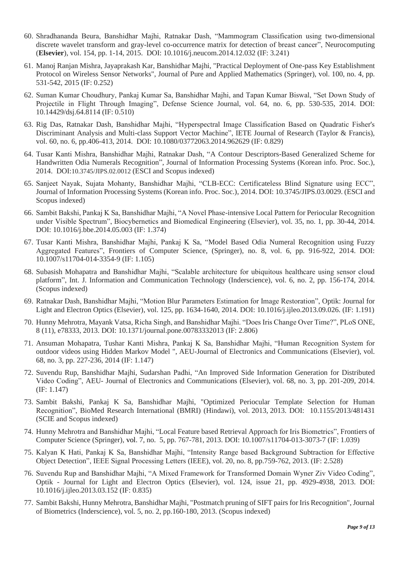- 60. Shradhananda Beura, Banshidhar Majhi, Ratnakar Dash, "Mammogram Classification using two-dimensional discrete wavelet transform and gray-level co-occurrence matrix for detection of breast cancer", Neurocomputing (**Elsevier**), vol. 154, pp. 1-14, 2015. DOI: [10.1016/j.neucom.2014.12.032](http://dx.doi.org/10.1016/j.neucom.2014.12.032) (IF: 3.241)
- 61. Manoj Ranjan Mishra, Jayaprakash Kar, Banshidhar Majhi, "Practical Deployment of One-pass Key Establishment Protocol on Wireless Sensor Networks", Journal of Pure and Applied Mathematics (Springer), vol. 100, no. 4, pp. 531-542, 2015 (IF: 0.252)
- 62. Suman Kumar Choudhury, Pankaj Kumar Sa, Banshidhar Majhi, and Tapan Kumar Biswal, "Set Down Study of Projectile in Flight Through Imaging", Defense Science Journal, vol. 64, no. 6, pp. 530-535, 2014. DOI: 10.14429/dsj.64.8114 (IF: 0.510)
- 63. Rig Das, Ratnakar Dash, Banshidhar Majhi, "Hyperspectral Image Classification Based on Quadratic Fisher's Discriminant Analysis and Multi-class Support Vector Machine", IETE Journal of Research (Taylor & Francis), vol. 60, no. 6, pp.406-413, 2014. DOI: 10.1080/03772063.2014.962629 (IF: 0.829)
- 64. Tusar Kanti Mishra, Banshidhar Majhi, Ratnakar Dash, "A Contour Descriptors-Based Generalized Scheme for Handwritten Odia Numerals Recognition", Journal of Information Processing Systems (Korean info. Proc. Soc.), 2014. DOI:10.3745/JIPS.02.0012 (ESCI and Scopus indexed)
- 65. Sanjeet Nayak, Sujata Mohanty, Banshidhar Majhi, "CLB-ECC: Certificateless Blind Signature using ECC", Journal of Information Processing Systems (Korean info. Proc. Soc.), 2014. DOI: 10.3745/JIPS.03.0029. (ESCI and Scopus indexed)
- 66. Sambit Bakshi, Pankaj K Sa, Banshidhar Majhi, "A Novel Phase-intensive Local Pattern for Periocular Recognition under Visible Spectrum", Biocybernetics and Biomedical Engineering (Elsevier), vol. 35, no. 1, pp. 30-44, 2014. DOI: 10.1016/j.bbe.2014.05.003 (IF: 1.374)
- 67. Tusar Kanti Mishra, Banshidhar Majhi, Pankaj K Sa, "Model Based Odia Numeral Recognition using Fuzzy Aggregated Features", Frontiers of Computer Science, (Springer), no. 8, vol. 6, pp. 916-922, 2014. DOI: 10.1007/s11704-014-3354-9 (IF: 1.105)
- 68. Subasish Mohapatra and Banshidhar Majhi, "Scalable architecture for ubiquitous healthcare using sensor cloud platform", Int. J. Information and Communication Technology (Inderscience), vol. 6, no. 2, pp. 156-174, 2014. (Scopus indexed)
- 69. Ratnakar Dash, Banshidhar Majhi, "Motion Blur Parameters Estimation for Image Restoration", Optik: Journal for Light and Electron Optics (Elsevier), vol. 125, pp. 1634-1640, 2014. DOI: 10.1016/j.ijleo.2013.09.026. (IF: 1.191)
- 70. Hunny Mehrotra, Mayank Vatsa, Richa Singh, and Banshidhar Majhi. "Does Iris Change Over Time?", PLoS ONE, 8 (11), e78333, 2013. DOI: 10.1371/journal.pone.00783332013 (IF: 2.806)
- 71. Ansuman Mohapatra, Tushar Kanti Mishra, Pankaj K Sa, Banshidhar Majhi, "Human Recognition System for outdoor videos using Hidden Markov Model ", AEU-Journal of Electronics and Communications (Elsevier), vol. 68, no. 3, pp. 227-236, 2014 (IF: 1.147)
- 72. Suvendu Rup, Banshidhar Majhi, Sudarshan Padhi, "An Improved Side Information Generation for Distributed Video Coding", AEU- Journal of Electronics and Communications (Elsevier), vol. 68, no. 3, pp. 201-209, 2014. (IF: 1.147)
- 73. Sambit Bakshi, Pankaj K Sa, Banshidhar Majhi, "Optimized Periocular Template Selection for Human Recognition", BioMed Research International (BMRI) (Hindawi), vol. 2013, 2013. DOI: [10.1155/2013/481431](http://dx.doi.org/10.1155/2013/481431) (SCIE and Scopus indexed)
- 74. Hunny Mehrotra and Banshidhar Majhi, "Local Feature based Retrieval Approach for Iris Biometrics", Frontiers of Computer Science (Springer), vol. 7, no. 5, pp. 767-781, 2013. DOI: 10.1007/s11704-013-3073-7 (IF: 1.039)
- 75. Kalyan K Hati, Pankaj K Sa, Banshidhar Majhi, "Intensity Range based Background Subtraction for Effective Object Detection", IEEE Signal Processing Letters (IEEE), vol. 20, no. 8, pp.759-762, 2013. (IF: 2.528)
- 76. Suvendu Rup and Banshidhar Majhi, "A Mixed Framework for Transformed Domain Wyner Ziv Video Coding", Optik - Journal for Light and Electron Optics (Elsevier), vol. 124, issue 21, pp. 4929-4938, 2013. DOI: 10.1016/j.ijleo.2013.03.152 (IF: 0.835)
- 77. Sambit Bakshi, Hunny Mehrotra, Banshidhar Majhi, "Postmatch pruning of SIFT pairs for Iris Recognition", Journal of Biometrics (Inderscience), vol. 5, no. 2, pp.160-180, 2013. (Scopus indexed)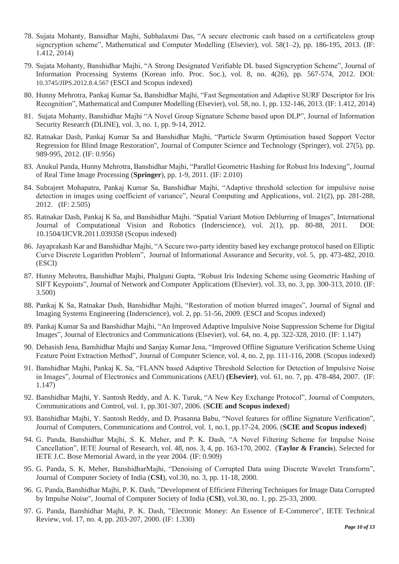- 78. Sujata Mohanty, Bansidhar Majhi, Subhalaxmi Das, "A secure electronic cash based on a certificateless group signcryption scheme", Mathematical and Computer Modelling (Elsevier), vol. 58(1–2), pp. 186-195, 2013. (IF: 1.412, 2014)
- 79. Sujata Mohanty, Banshidhar Majhi, "A Strong Designated Verifiable DL based Signcryption Scheme", Journal of Information Processing Systems (Korean info. Proc. Soc.), vol. 8, no. 4(26), pp. 567-574, 2012. DOI: 10.3745/JIPS.2012.8.4.567 (ESCI and Scopus indexed)
- 80. Hunny Mehrotra, Pankaj Kumar Sa, Banshidhar Majhi, "Fast Segmentation and Adaptive SURF Descriptor for Iris Recognition", Mathematical and Computer Modelling (Elsevier), vol. 58, no. 1, pp. 132-146, 2013. (IF: 1.412, 2014)
- 81. Sujata Mohanty, Banshidhar Majhi "A Novel Group Signature Scheme based upon DLP", Journal of Information Security Research (DLINE), vol. 3, no. 1, pp. 9-14, 2012.
- 82. Ratnakar Dash, Pankaj Kumar Sa and Banshidhar Majhi, "Particle Swarm Optimisation based Support Vector Regression for Blind Image Restoration", Journal of Computer Science and Technology (Springer), vol. 27(5), pp. 989-995, 2012. (IF: 0.956)
- 83. Anukul Panda, Hunny Mehrotra, Banshidhar Majhi, "Parallel Geometric Hashing for Robust Iris Indexing", Journal of Real Time Image Processing (**Springer**), pp. 1-9, 2011. (IF: 2.010)
- 84. Subrajeet Mohapatra, Pankaj Kumar Sa, Banshidhar Majhi, "Adaptive threshold selection for impulsive noise detection in images using coefficient of variance", Neural Computing and Applications, vol. 21(2), pp. 281-288, 2012. (IF: 2.505)
- 85. Ratnakar Dash, Pankaj K Sa, and Banshidhar Majhi. "Spatial Variant Motion Deblurring of Images", International Journal of Computational Vision and Robotics (Inderscience), vol. 2(1), pp. 80-88, 2011. [DOI:](http://dx.doi.org/10.1504/IJCVR.2011.039358) [10.1504/IJCVR.2011.039358](http://dx.doi.org/10.1504/IJCVR.2011.039358) (Scopus indexed)
- 86. Jayaprakash Kar and Banshidhar Majhi, "A Secure two-party identity based key exchange protocol based on Elliptic Curve Discrete Logarithm Problem", Journal of Informational Assurance and Security, vol. 5, pp. 473-482, 2010. (ESCI)
- 87. Hunny Mehrotra, Banshidhar Majhi, Phalguni Gupta, "Robust Iris Indexing Scheme using Geometric Hashing of SIFT Keypoints", Journal of Network and Computer Applications (Elsevier). vol. 33, no. 3, pp. 300-313, 2010. (IF: 3.500)
- 88. Pankaj K Sa, Ratnakar Dash, Banshidhar Majhi, "Restoration of motion blurred images", Journal of Signal and Imaging Systems Engineering (Inderscience), vol. 2, pp. 51-56, 2009. (ESCI and Scopus indexed)
- 89. Pankaj Kumar Sa and Banshidhar Majhi, "An Improved Adaptive Impulsive Noise Suppression Scheme for Digital Images", Journal of Electronics and Communications (Elsevier), vol. 64, no. 4, pp. 322-328, 2010. (IF: 1.147)
- 90. Debasish Jena, Banshidhar Majhi and Sanjay Kumar Jena, "Improved Offline Signature Verification Scheme Using Feature Point Extraction Method", Journal of Computer Science, vol. 4, no. 2, pp. 111-116, 2008. (Scopus indexed)
- 91. Banshidhar Majhi, Pankaj K. Sa, "FLANN based Adaptive Threshold Selection for Detection of Impulsive Noise in Images", Journal of Electronics and Communications (AEU) **(Elsevier)**, vol. 61, no. 7, pp. 478-484, 2007. (IF: 1.147)
- 92. Banshidhar Majhi, Y. Santosh Reddy, and A. K. Turuk, "A New Key Exchange Protocol", Journal of Computers, Communications and Control, vol. 1, pp.301-307, 2006. (**SCIE and Scopus indexed**)
- 93. Banshidhar Majhi, Y. Santosh Reddy, and D. Prasanna Babu, "Novel features for offline Signature Verification", Journal of Computers, Communications and Control, vol. 1, no.1, pp.17-24, 2006. (**SCIE and Scopus indexed**)
- 94. G. Panda, Banshidhar Majhi, S. K. Meher, and P. K. Dash, "A Novel Filtering Scheme for Impulse Noise Cancellation", IETE Journal of Research, vol. 48, nos. 3, 4, pp. 163-170, 2002. (**Taylor & Francis**). Selected for IETE J.C. Bose Memorial Award, in the year 2004. (IF: 0.909)
- 95. G. Panda, S. K. Meher, BanshidharMajhi, "Denoising of Corrupted Data using Discrete Wavelet Transform", Journal of Computer Society of India (**CSI**), vol.30, no. 3, pp. 11-18, 2000.
- 96. G. Panda, Banshidhar Majhi, P. K. Dash, "Development of Efficient Filtering Techniques for Image Data Corrupted by Impulse Noise", Journal of Computer Society of India (**CSI**), vol.30, no. 1, pp. 25-33, 2000.
- 97. G. Panda, Banshidhar Majhi, P. K. Dash, "Electronic Money: An Essence of E-Commerce", IETE Technical Review, vol. 17, no. 4, pp. 203-207, 2000. (IF: 1.330)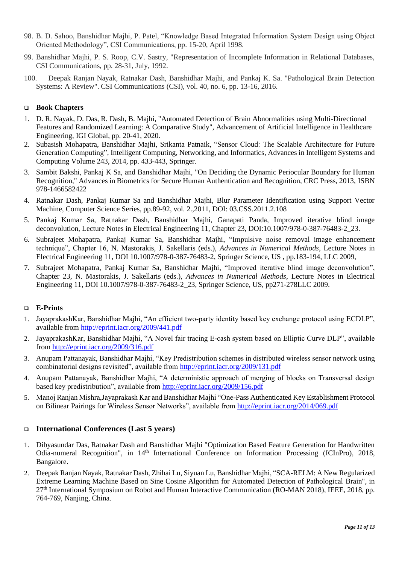- 98. B. D. Sahoo, Banshidhar Majhi, P. Patel, "Knowledge Based Integrated Information System Design using Object Oriented Methodology", CSI Communications, pp. 15-20, April 1998.
- 99. Banshidhar Majhi, P. S. Roop, C.V. Sastry, "Representation of Incomplete Information in Relational Databases, CSI Communications, pp. 28-31, July, 1992.
- 100. Deepak Ranjan Nayak, Ratnakar Dash, Banshidhar Majhi, and Pankaj K. Sa. "Pathological Brain Detection Systems: A Review". CSI Communications (CSI), vol. 40, no. 6, pp. 13-16, 2016.

### ❑ **Book Chapters**

- 1. D. R. Nayak, D. Das, R. Dash, B. Majhi, "Automated Detection of Brain Abnormalities using Multi-Directional Features and Randomized Learning: A Comparative Study", Advancement of Artificial Intelligence in Healthcare Engineering, IGI Global, pp. 20-41, 2020.
- 2. Subasish Mohapatra, [Banshidhar Majhi,](http://link.springer.com/search?facet-author=%22Banshidhar+Majhi%22) [Srikanta Patnaik,](http://link.springer.com/search?facet-author=%22Srikanta+Patnaik%22) "Sensor Cloud: The Scalable Architecture for Future Generation Computing", Intelligent Computing, Networking, and Informatics, Advances in Intelligent Systems and Computing Volume 243, 2014, pp. 433-443, Springer.
- 3. Sambit Bakshi, Pankaj K Sa, and Banshidhar Majhi, "On Deciding the Dynamic Periocular Boundary for Human Recognition," Advances in Biometrics for Secure Human Authentication and Recognition, CRC Press, 2013, ISBN 978-1466582422
- 4. Ratnakar Dash, Pankaj Kumar Sa and Banshidhar Majhi, Blur Parameter Identification using Support Vector Machine, Computer Science Series, pp.89-92, vol. 2.,2011, DOI: 03.CSS.2011.2.108
- 5. Pankaj Kumar Sa, Ratnakar Dash, Banshidhar Majhi, Ganapati Panda, Improved iterative blind image deconvolution, Lecture Notes in Electrical Engineering 11, Chapter 23, DOI:10.1007/978-0-387-76483-2\_23.
- 6. Subrajeet Mohapatra, Pankaj Kumar Sa, Banshidhar Majhi, "Impulsive noise removal image enhancement technique", Chapter 16, N. Mastorakis, J. Sakellaris (eds.), *Advances in Numerical Methods*, Lecture Notes in Electrical Engineering 11, DOI 10.1007/978-0-387-76483-2, Springer Science, US , pp.183-194, LLC 2009,
- 7. Subrajeet Mohapatra, Pankaj Kumar Sa, Banshidhar Majhi, "Improved iterative blind image deconvolution", Chapter 23, N. Mastorakis, J. Sakellaris (eds.), *Advances in Numerical Methods*, Lecture Notes in Electrical Engineering 11, DOI 10.1007/978-0-387-76483-2\_23, Springer Science, US, pp271-278LLC 2009.

### ❑ **E-Prints**

- 1. JayaprakashKar, Banshidhar Majhi, "An efficient two-party identity based key exchange protocol using ECDLP", available from<http://eprint.iacr.org/2009/441.pdf>
- 2. JayaprakashKar, Banshidhar Majhi, "A Novel fair tracing E-cash system based on Elliptic Curve DLP", available from http://eprint.iacr.org/2009/316.pdf
- 3. Anupam Pattanayak, Banshidhar Majhi, "Key Predistribution schemes in distributed wireless sensor network using combinatorial designs revisited", available from<http://eprint.iacr.org/2009/131.pdf>
- 4. Anupam Pattanayak, Banshidhar Majhi, "A deterministic approach of merging of blocks on Transversal design based key predistribution", available from [http://eprint.iacr.org/2009/156.](http://eprint.iacr.org/2009/156)pdf
- 5. Manoj Ranjan Mishra,Jayaprakash Kar and Banshidhar Majhi "One-Pass Authenticated Key Establishment Protocol on Bilinear Pairings for Wireless Sensor Networks", available from<http://eprint.iacr.org/2014/069.pdf>

### ❑ **International Conferences (Last 5 years)**

- 1. Dibyasundar Das, Ratnakar Dash and Banshidhar Majhi "Optimization Based Feature Generation for Handwritten Odia-numeral Recognition", in 14th International Conference on Information Processing (ICInPro), 2018, Bangalore.
- 2. Deepak Ranjan Nayak, Ratnakar Dash, Zhihai Lu, Siyuan Lu, Banshidhar Majhi, "SCA-RELM: A New Regularized Extreme Learning Machine Based on Sine Cosine Algorithm for Automated Detection of Pathological Brain", in 27th International Symposium on Robot and Human Interactive Communication (RO-MAN 2018), IEEE, 2018, pp. 764-769, Nanjing, China.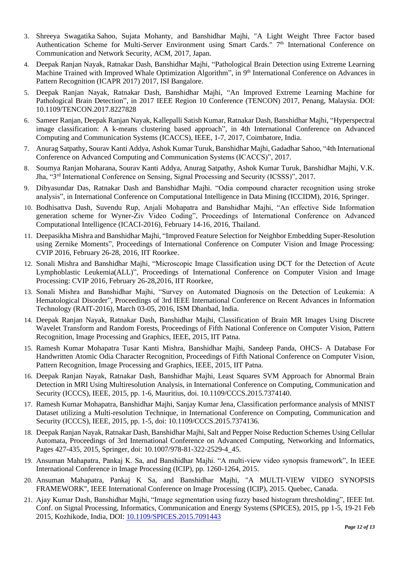- 3. Shreeya Swagatika Sahoo, Sujata Mohanty, and Banshidhar Majhi, "A Light Weight Three Factor based Authentication Scheme for Multi-Server Environment using Smart Cards." 7<sup>th</sup> International Conference on Communication and Network Security, ACM, 2017, Japan.
- 4. Deepak Ranjan Nayak, Ratnakar Dash, Banshidhar Majhi, "Pathological Brain Detection using Extreme Learning Machine Trained with Improved Whale Optimization Algorithm", in 9<sup>th</sup> International Conference on Advances in Pattern Recognition (ICAPR 2017) 2017, ISI Bangalore.
- 5. Deepak Ranjan Nayak, Ratnakar Dash, Banshidhar Majhi, "An Improved Extreme Learning Machine for Pathological Brain Detection", in 2017 IEEE Region 10 Conference (TENCON) 2017, Penang, Malaysia. DOI: 10.1109/TENCON.2017.8227828
- 6. Sameer Ranjan, Deepak Ranjan Nayak, Kallepalli Satish Kumar, Ratnakar Dash, Banshidhar Majhi, "Hyperspectral image classification: A k-means clustering based approach", in 4th International Conference on Advanced Computing and Communication Systems (ICACCS), IEEE, 1-7, 2017, Coimbatore, India.
- 7. Anurag Satpathy, Sourav Kanti Addya, Ashok Kumar Turuk, Banshidhar Majhi, Gadadhar Sahoo, "4th International Conference on Advanced Computing and Communication Systems (ICACCS)", 2017.
- 8. Soumya Ranjan Moharana, Sourav Kanti Addya, Anurag Satpathy, Ashok Kumar Turuk, Banshidhar Majhi, V.K. Jha, "3rd International Conference on Sensing, Signal Processing and Security (ICSSS)", 2017.
- 9. Dibyasundar Das, Ratnakar Dash and Banshidhar Majhi. "Odia compound character recognition using stroke analysis", in International Conference on Computational Intelligence in Data Mining (ICCIDM), 2016, Springer.
- 10. Bodhisattva Dash, Suvendu Rup, Anjali Mohapatra and Banshidhar Majhi, "An effective Side Information generation scheme for Wyner-Ziv Video Coding", Proceedings of International Conference on Advanced Computational Intelligence (ICACI-2016), February 14-16, 2016, Thailand.
- 11. Deepasikha Mishra and Banshidhar Majhi, "Improved Feature Selection for Neighbor Embedding Super-Resolution using Zernike Moments", Proceedings of International Conference on Computer Vision and Image Processing: CVIP 2016, February 26-28, 2016, IIT Roorkee.
- 12. Sonali Mishra and Banshidhar Majhi, "Microscopic Image Classification using DCT for the Detection of Acute Lymphoblastic Leukemia(ALL)", Proceedings of International Conference on Computer Vision and Image Processing: CVIP 2016, February 26-28,2016, IIT Roorkee,
- 13. Sonali Mishra and Banshidhar Majhi, "Survey on Automated Diagnosis on the Detection of Leukemia: A Hematological Disorder", Proceedings of 3rd IEEE International Conference on Recent Advances in Information Technology (RAIT-2016), March 03-05, 2016, ISM Dhanbad, India.
- 14. Deepak Ranjan Nayak, Ratnakar Dash, Banshidhar Majhi, Classification of Brain MR Images Using Discrete Wavelet Transform and Random Forests, Proceedings of Fifth National Conference on Computer Vision, Pattern Recognition, Image Processing and Graphics, IEEE, 2015, IIT Patna.
- 15. Ramesh Kumar Mohapatra Tusar Kanti Mishra, Banshidhar Majhi, Sandeep Panda, OHCS- A Database For Handwritten Atomic Odia Character Recognition, Proceedings of Fifth National Conference on Computer Vision, Pattern Recognition, Image Processing and Graphics, IEEE, 2015, IIT Patna.
- 16. Deepak Ranjan Nayak, Ratnakar Dash, Banshidhar Majhi, Least Squares SVM Approach for Abnormal Brain Detection in MRI Using Multiresolution Analysis, in International Conference on Computing, Communication and Security (ICCCS), IEEE, 2015, pp. 1-6, Mauritius, doi. [10.1109/CCCS.2015.7374140.](http://dx.doi.org/10.1109/CCCS.2015.7374140)
- 17. Ramesh Kumar Mohapatra, Banshidhar Majhi, Sanjay Kumar Jena, Classification performance analysis of MNIST Dataset utilizing a Multi-resolution Technique, in International Conference on Computing, Communication and Security (ICCCS), IEEE, 2015, pp. 1-5, doi: [10.1109/CCCS.2015.7374136.](http://dx.doi.org/10.1109/CCCS.2015.7374136)
- 18. Deepak Ranjan Nayak, Ratnakar Dash, Banshidhar Majhi, Salt and Pepper Noise Reduction Schemes Using Cellular Automata, Proceedings of 3rd International Conference on Advanced Computing, Networking and Informatics, Pages 427-435, 2015, Springer, doi: 10.1007/978-81-322-2529-4\_45.
- 19. Ansuman Mahapatra, Pankaj K. Sa, and Banshidhar Majhi. "A multi-view video synopsis framework", In IEEE International Conference in Image Processing (ICIP), pp. 1260-1264, 2015.
- 20. Ansuman Mahapatra, Pankaj K Sa, and Banshidhar Majhi, "A MULTI-VIEW VIDEO SYNOPSIS FRAMEWORK", IEEE International Conference on Image Processing (ICIP), 2015. Quebec, Canada.
- 21. Ajay Kumar Dash, Banshidhar Majhi, "Image segmentation using fuzzy based histogram thresholding", IEEE Int. Conf. on Signal Processing, Informatics, Communication and Energy Systems (SPICES), 2015, pp 1-5, 19-21 Feb 2015, Kozhikode, India, DOI: 10.1109/SPICES.2015.7091443